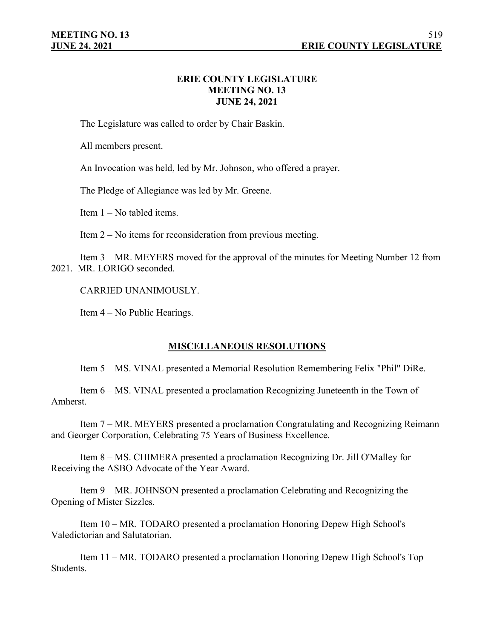## **ERIE COUNTY LEGISLATURE MEETING NO. 13 JUNE 24, 2021**

The Legislature was called to order by Chair Baskin.

All members present.

An Invocation was held, led by Mr. Johnson, who offered a prayer.

The Pledge of Allegiance was led by Mr. Greene.

Item 1 – No tabled items.

Item 2 – No items for reconsideration from previous meeting.

Item 3 – MR. MEYERS moved for the approval of the minutes for Meeting Number 12 from 2021. MR. LORIGO seconded.

CARRIED UNANIMOUSLY.

Item 4 – No Public Hearings.

# **MISCELLANEOUS RESOLUTIONS**

Item 5 – MS. VINAL presented a Memorial Resolution Remembering Felix "Phil" DiRe.

Item 6 – MS. VINAL presented a proclamation Recognizing Juneteenth in the Town of Amherst.

Item 7 – MR. MEYERS presented a proclamation Congratulating and Recognizing Reimann and Georger Corporation, Celebrating 75 Years of Business Excellence.

Item 8 – MS. CHIMERA presented a proclamation Recognizing Dr. Jill O'Malley for Receiving the ASBO Advocate of the Year Award.

Item 9 – MR. JOHNSON presented a proclamation Celebrating and Recognizing the Opening of Mister Sizzles.

Item 10 – MR. TODARO presented a proclamation Honoring Depew High School's Valedictorian and Salutatorian.

Item 11 – MR. TODARO presented a proclamation Honoring Depew High School's Top Students.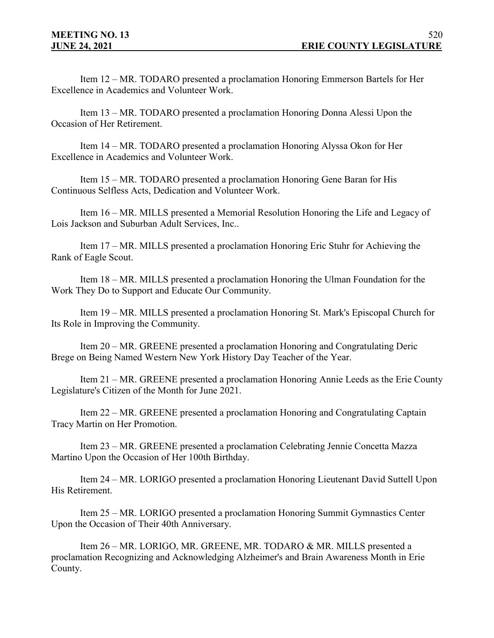Item 12 – MR. TODARO presented a proclamation Honoring Emmerson Bartels for Her Excellence in Academics and Volunteer Work.

Item 13 – MR. TODARO presented a proclamation Honoring Donna Alessi Upon the Occasion of Her Retirement.

Item 14 – MR. TODARO presented a proclamation Honoring Alyssa Okon for Her Excellence in Academics and Volunteer Work.

Item 15 – MR. TODARO presented a proclamation Honoring Gene Baran for His Continuous Selfless Acts, Dedication and Volunteer Work.

Item 16 – MR. MILLS presented a Memorial Resolution Honoring the Life and Legacy of Lois Jackson and Suburban Adult Services, Inc..

Item 17 – MR. MILLS presented a proclamation Honoring Eric Stuhr for Achieving the Rank of Eagle Scout.

Item 18 – MR. MILLS presented a proclamation Honoring the Ulman Foundation for the Work They Do to Support and Educate Our Community.

Item 19 – MR. MILLS presented a proclamation Honoring St. Mark's Episcopal Church for Its Role in Improving the Community.

Item 20 – MR. GREENE presented a proclamation Honoring and Congratulating Deric Brege on Being Named Western New York History Day Teacher of the Year.

Item 21 – MR. GREENE presented a proclamation Honoring Annie Leeds as the Erie County Legislature's Citizen of the Month for June 2021.

Item 22 – MR. GREENE presented a proclamation Honoring and Congratulating Captain Tracy Martin on Her Promotion.

Item 23 – MR. GREENE presented a proclamation Celebrating Jennie Concetta Mazza Martino Upon the Occasion of Her 100th Birthday.

Item 24 – MR. LORIGO presented a proclamation Honoring Lieutenant David Suttell Upon His Retirement.

Item 25 – MR. LORIGO presented a proclamation Honoring Summit Gymnastics Center Upon the Occasion of Their 40th Anniversary.

Item 26 – MR. LORIGO, MR. GREENE, MR. TODARO & MR. MILLS presented a proclamation Recognizing and Acknowledging Alzheimer's and Brain Awareness Month in Erie County.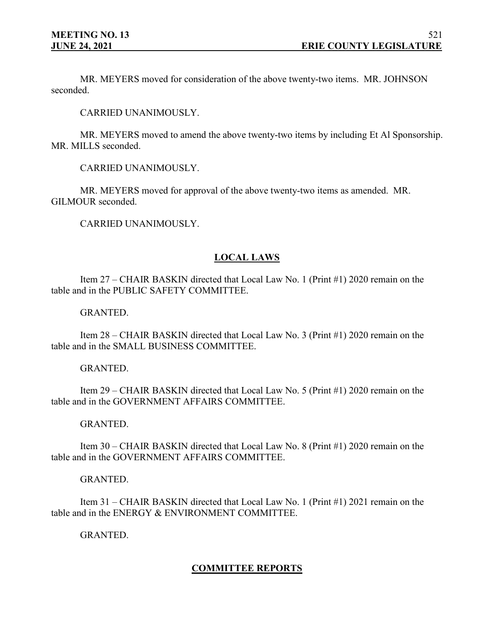MR. MEYERS moved for consideration of the above twenty-two items. MR. JOHNSON seconded.

CARRIED UNANIMOUSLY.

MR. MEYERS moved to amend the above twenty-two items by including Et Al Sponsorship. MR. MILLS seconded.

CARRIED UNANIMOUSLY.

MR. MEYERS moved for approval of the above twenty-two items as amended. MR. GILMOUR seconded.

CARRIED UNANIMOUSLY.

## **LOCAL LAWS**

Item 27 – CHAIR BASKIN directed that Local Law No. 1 (Print #1) 2020 remain on the table and in the PUBLIC SAFETY COMMITTEE.

GRANTED.

Item 28 – CHAIR BASKIN directed that Local Law No. 3 (Print #1) 2020 remain on the table and in the SMALL BUSINESS COMMITTEE.

#### GRANTED.

Item 29 – CHAIR BASKIN directed that Local Law No. 5 (Print #1) 2020 remain on the table and in the GOVERNMENT AFFAIRS COMMITTEE.

#### GRANTED.

Item 30 – CHAIR BASKIN directed that Local Law No. 8 (Print #1) 2020 remain on the table and in the GOVERNMENT AFFAIRS COMMITTEE.

#### GRANTED.

Item 31 – CHAIR BASKIN directed that Local Law No. 1 (Print #1) 2021 remain on the table and in the ENERGY & ENVIRONMENT COMMITTEE.

GRANTED.

## **COMMITTEE REPORTS**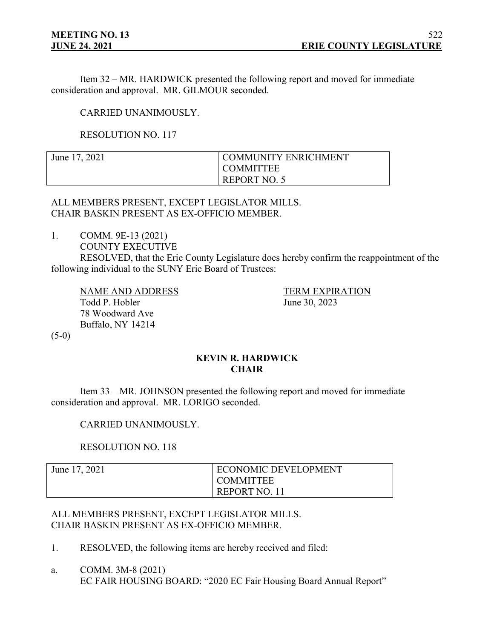Item 32 – MR. HARDWICK presented the following report and moved for immediate consideration and approval. MR. GILMOUR seconded.

## CARRIED UNANIMOUSLY.

RESOLUTION NO. 117

| June 17, 2021 | COMMUNITY ENRICHMENT |
|---------------|----------------------|
|               |                      |
|               | <b>COMMITTEE</b>     |
|               | <b>REPORT NO. 5</b>  |

ALL MEMBERS PRESENT, EXCEPT LEGISLATOR MILLS. CHAIR BASKIN PRESENT AS EX-OFFICIO MEMBER.

1. COMM. 9E-13 (2021)

COUNTY EXECUTIVE

RESOLVED, that the Erie County Legislature does hereby confirm the reappointment of the following individual to the SUNY Erie Board of Trustees:

NAME AND ADDRESS TERM EXPIRATION Todd P. Hobler June 30, 2023 78 Woodward Ave Buffalo, NY 14214

 $(5-0)$ 

## **KEVIN R. HARDWICK CHAIR**

Item 33 – MR. JOHNSON presented the following report and moved for immediate consideration and approval. MR. LORIGO seconded.

## CARRIED UNANIMOUSLY.

## RESOLUTION NO. 118

| June 17, 2021 | <b>ECONOMIC DEVELOPMENT</b> |
|---------------|-----------------------------|
|               | l COMMITTEE                 |
|               | REPORT NO. 11               |

## ALL MEMBERS PRESENT, EXCEPT LEGISLATOR MILLS. CHAIR BASKIN PRESENT AS EX-OFFICIO MEMBER.

- 1. RESOLVED, the following items are hereby received and filed:
- a. COMM. 3M-8 (2021) EC FAIR HOUSING BOARD: "2020 EC Fair Housing Board Annual Report"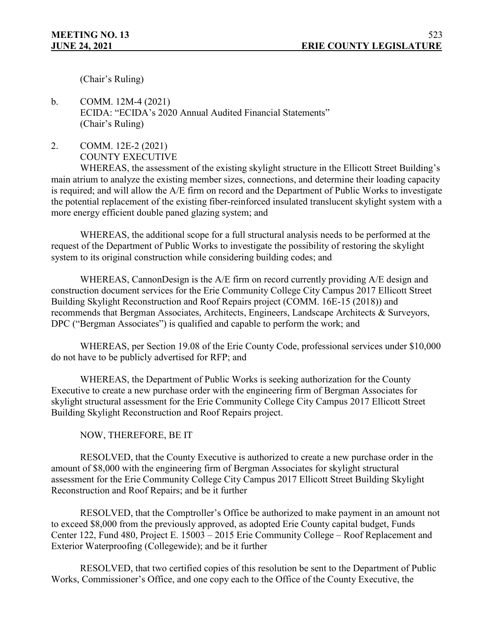(Chair's Ruling)

b. COMM. 12M-4 (2021) ECIDA: "ECIDA's 2020 Annual Audited Financial Statements" (Chair's Ruling)

2. COMM. 12E-2 (2021)

COUNTY EXECUTIVE

WHEREAS, the assessment of the existing skylight structure in the Ellicott Street Building's main atrium to analyze the existing member sizes, connections, and determine their loading capacity is required; and will allow the A/E firm on record and the Department of Public Works to investigate the potential replacement of the existing fiber-reinforced insulated translucent skylight system with a more energy efficient double paned glazing system; and

WHEREAS, the additional scope for a full structural analysis needs to be performed at the request of the Department of Public Works to investigate the possibility of restoring the skylight system to its original construction while considering building codes; and

WHEREAS, CannonDesign is the A/E firm on record currently providing A/E design and construction document services for the Erie Community College City Campus 2017 Ellicott Street Building Skylight Reconstruction and Roof Repairs project (COMM. 16E-15 (2018)) and recommends that Bergman Associates, Architects, Engineers, Landscape Architects & Surveyors, DPC ("Bergman Associates") is qualified and capable to perform the work; and

WHEREAS, per Section 19.08 of the Erie County Code, professional services under \$10,000 do not have to be publicly advertised for RFP; and

WHEREAS, the Department of Public Works is seeking authorization for the County Executive to create a new purchase order with the engineering firm of Bergman Associates for skylight structural assessment for the Erie Community College City Campus 2017 Ellicott Street Building Skylight Reconstruction and Roof Repairs project.

NOW, THEREFORE, BE IT

RESOLVED, that the County Executive is authorized to create a new purchase order in the amount of \$8,000 with the engineering firm of Bergman Associates for skylight structural assessment for the Erie Community College City Campus 2017 Ellicott Street Building Skylight Reconstruction and Roof Repairs; and be it further

RESOLVED, that the Comptroller's Office be authorized to make payment in an amount not to exceed \$8,000 from the previously approved, as adopted Erie County capital budget, Funds Center 122, Fund 480, Project E. 15003 – 2015 Erie Community College – Roof Replacement and Exterior Waterproofing (Collegewide); and be it further

RESOLVED, that two certified copies of this resolution be sent to the Department of Public Works, Commissioner's Office, and one copy each to the Office of the County Executive, the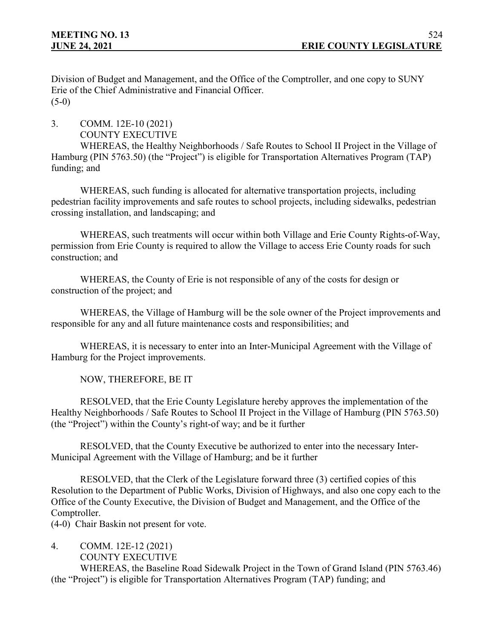Division of Budget and Management, and the Office of the Comptroller, and one copy to SUNY Erie of the Chief Administrative and Financial Officer.  $(5-0)$ 

3. COMM. 12E-10 (2021) COUNTY EXECUTIVE

WHEREAS, the Healthy Neighborhoods / Safe Routes to School II Project in the Village of Hamburg (PIN 5763.50) (the "Project") is eligible for Transportation Alternatives Program (TAP) funding; and

WHEREAS, such funding is allocated for alternative transportation projects, including pedestrian facility improvements and safe routes to school projects, including sidewalks, pedestrian crossing installation, and landscaping; and

WHEREAS, such treatments will occur within both Village and Erie County Rights-of-Way, permission from Erie County is required to allow the Village to access Erie County roads for such construction; and

WHEREAS, the County of Erie is not responsible of any of the costs for design or construction of the project; and

WHEREAS, the Village of Hamburg will be the sole owner of the Project improvements and responsible for any and all future maintenance costs and responsibilities; and

WHEREAS, it is necessary to enter into an Inter-Municipal Agreement with the Village of Hamburg for the Project improvements.

NOW, THEREFORE, BE IT

RESOLVED, that the Erie County Legislature hereby approves the implementation of the Healthy Neighborhoods / Safe Routes to School II Project in the Village of Hamburg (PIN 5763.50) (the "Project") within the County's right-of way; and be it further

RESOLVED, that the County Executive be authorized to enter into the necessary Inter-Municipal Agreement with the Village of Hamburg; and be it further

RESOLVED, that the Clerk of the Legislature forward three (3) certified copies of this Resolution to the Department of Public Works, Division of Highways, and also one copy each to the Office of the County Executive, the Division of Budget and Management, and the Office of the Comptroller.

(4-0) Chair Baskin not present for vote.

4. COMM. 12E-12 (2021) COUNTY EXECUTIVE

WHEREAS, the Baseline Road Sidewalk Project in the Town of Grand Island (PIN 5763.46) (the "Project") is eligible for Transportation Alternatives Program (TAP) funding; and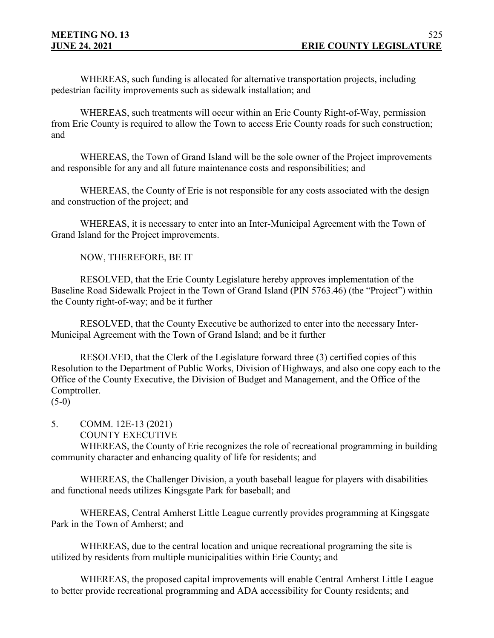WHEREAS, such funding is allocated for alternative transportation projects, including pedestrian facility improvements such as sidewalk installation; and

WHEREAS, such treatments will occur within an Erie County Right-of-Way, permission from Erie County is required to allow the Town to access Erie County roads for such construction; and

WHEREAS, the Town of Grand Island will be the sole owner of the Project improvements and responsible for any and all future maintenance costs and responsibilities; and

WHEREAS, the County of Erie is not responsible for any costs associated with the design and construction of the project; and

WHEREAS, it is necessary to enter into an Inter-Municipal Agreement with the Town of Grand Island for the Project improvements.

NOW, THEREFORE, BE IT

RESOLVED, that the Erie County Legislature hereby approves implementation of the Baseline Road Sidewalk Project in the Town of Grand Island (PIN 5763.46) (the "Project") within the County right-of-way; and be it further

RESOLVED, that the County Executive be authorized to enter into the necessary Inter-Municipal Agreement with the Town of Grand Island; and be it further

RESOLVED, that the Clerk of the Legislature forward three (3) certified copies of this Resolution to the Department of Public Works, Division of Highways, and also one copy each to the Office of the County Executive, the Division of Budget and Management, and the Office of the Comptroller.

 $(5-0)$ 

5. COMM. 12E-13 (2021)

## COUNTY EXECUTIVE

WHEREAS, the County of Erie recognizes the role of recreational programming in building community character and enhancing quality of life for residents; and

WHEREAS, the Challenger Division, a youth baseball league for players with disabilities and functional needs utilizes Kingsgate Park for baseball; and

WHEREAS, Central Amherst Little League currently provides programming at Kingsgate Park in the Town of Amherst; and

WHEREAS, due to the central location and unique recreational programing the site is utilized by residents from multiple municipalities within Erie County; and

WHEREAS, the proposed capital improvements will enable Central Amherst Little League to better provide recreational programming and ADA accessibility for County residents; and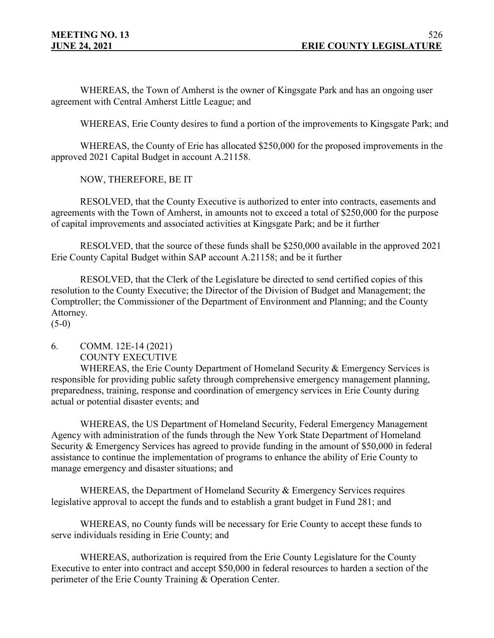WHEREAS, the Town of Amherst is the owner of Kingsgate Park and has an ongoing user agreement with Central Amherst Little League; and

WHEREAS, Erie County desires to fund a portion of the improvements to Kingsgate Park; and

WHEREAS, the County of Erie has allocated \$250,000 for the proposed improvements in the approved 2021 Capital Budget in account A.21158.

NOW, THEREFORE, BE IT

RESOLVED, that the County Executive is authorized to enter into contracts, easements and agreements with the Town of Amherst, in amounts not to exceed a total of \$250,000 for the purpose of capital improvements and associated activities at Kingsgate Park; and be it further

RESOLVED, that the source of these funds shall be \$250,000 available in the approved 2021 Erie County Capital Budget within SAP account A.21158; and be it further

RESOLVED, that the Clerk of the Legislature be directed to send certified copies of this resolution to the County Executive; the Director of the Division of Budget and Management; the Comptroller; the Commissioner of the Department of Environment and Planning; and the County Attorney.

 $(5-0)$ 

# 6. COMM. 12E-14 (2021) COUNTY EXECUTIVE

WHEREAS, the Erie County Department of Homeland Security & Emergency Services is responsible for providing public safety through comprehensive emergency management planning, preparedness, training, response and coordination of emergency services in Erie County during actual or potential disaster events; and

WHEREAS, the US Department of Homeland Security, Federal Emergency Management Agency with administration of the funds through the New York State Department of Homeland Security & Emergency Services has agreed to provide funding in the amount of \$50,000 in federal assistance to continue the implementation of programs to enhance the ability of Erie County to manage emergency and disaster situations; and

WHEREAS, the Department of Homeland Security & Emergency Services requires legislative approval to accept the funds and to establish a grant budget in Fund 281; and

WHEREAS, no County funds will be necessary for Erie County to accept these funds to serve individuals residing in Erie County; and

WHEREAS, authorization is required from the Erie County Legislature for the County Executive to enter into contract and accept \$50,000 in federal resources to harden a section of the perimeter of the Erie County Training & Operation Center.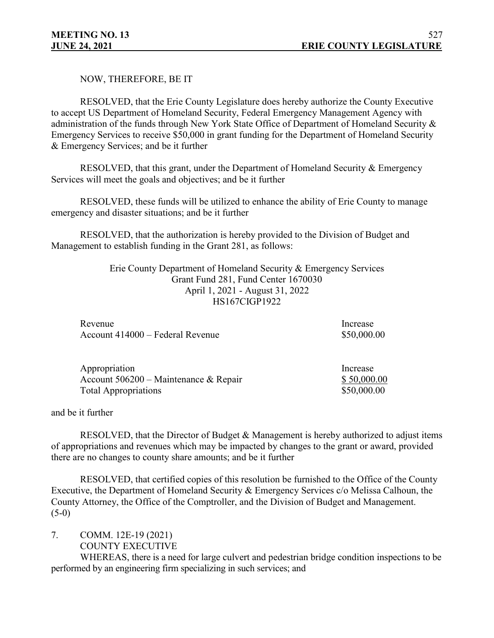NOW, THEREFORE, BE IT

RESOLVED, that the Erie County Legislature does hereby authorize the County Executive to accept US Department of Homeland Security, Federal Emergency Management Agency with administration of the funds through New York State Office of Department of Homeland Security & Emergency Services to receive \$50,000 in grant funding for the Department of Homeland Security & Emergency Services; and be it further

RESOLVED, that this grant, under the Department of Homeland Security & Emergency Services will meet the goals and objectives; and be it further

RESOLVED, these funds will be utilized to enhance the ability of Erie County to manage emergency and disaster situations; and be it further

RESOLVED, that the authorization is hereby provided to the Division of Budget and Management to establish funding in the Grant 281, as follows:

> Erie County Department of Homeland Security & Emergency Services Grant Fund 281, Fund Center 1670030 April 1, 2021 - August 31, 2022 HS167CIGP1922

Revenue Increase Account 414000 – Federal Revenue  $$50,000.00$ 

Appropriation Increase Account 506200 – Maintenance & Repair \$ 50,000.00 Total Appropriations  $$50,000.00$ 

and be it further

RESOLVED, that the Director of Budget & Management is hereby authorized to adjust items of appropriations and revenues which may be impacted by changes to the grant or award, provided there are no changes to county share amounts; and be it further

RESOLVED, that certified copies of this resolution be furnished to the Office of the County Executive, the Department of Homeland Security & Emergency Services c/o Melissa Calhoun, the County Attorney, the Office of the Comptroller, and the Division of Budget and Management.  $(5-0)$ 

7. COMM. 12E-19 (2021) COUNTY EXECUTIVE

WHEREAS, there is a need for large culvert and pedestrian bridge condition inspections to be performed by an engineering firm specializing in such services; and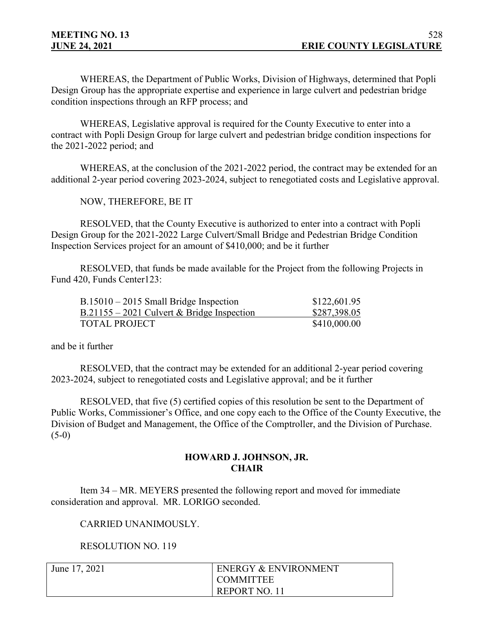WHEREAS, the Department of Public Works, Division of Highways, determined that Popli Design Group has the appropriate expertise and experience in large culvert and pedestrian bridge condition inspections through an RFP process; and

WHEREAS, Legislative approval is required for the County Executive to enter into a contract with Popli Design Group for large culvert and pedestrian bridge condition inspections for the 2021-2022 period; and

WHEREAS, at the conclusion of the 2021-2022 period, the contract may be extended for an additional 2-year period covering 2023-2024, subject to renegotiated costs and Legislative approval.

NOW, THEREFORE, BE IT

RESOLVED, that the County Executive is authorized to enter into a contract with Popli Design Group for the 2021-2022 Large Culvert/Small Bridge and Pedestrian Bridge Condition Inspection Services project for an amount of \$410,000; and be it further

RESOLVED, that funds be made available for the Project from the following Projects in Fund 420, Funds Center123:

| $B.15010 - 2015$ Small Bridge Inspection     | \$122,601.95 |
|----------------------------------------------|--------------|
| $B.21155 - 2021$ Culvert & Bridge Inspection | \$287,398.05 |
| TOTAL PROJECT                                | \$410,000.00 |

and be it further

RESOLVED, that the contract may be extended for an additional 2-year period covering 2023-2024, subject to renegotiated costs and Legislative approval; and be it further

RESOLVED, that five (5) certified copies of this resolution be sent to the Department of Public Works, Commissioner's Office, and one copy each to the Office of the County Executive, the Division of Budget and Management, the Office of the Comptroller, and the Division of Purchase.  $(5-0)$ 

## **HOWARD J. JOHNSON, JR. CHAIR**

Item 34 – MR. MEYERS presented the following report and moved for immediate consideration and approval. MR. LORIGO seconded.

CARRIED UNANIMOUSLY.

RESOLUTION NO. 119

| June 17, 2021 | <b>ENERGY &amp; ENVIRONMENT</b> |
|---------------|---------------------------------|
|               | <b>COMMITTEE</b>                |
|               | REPORT NO. 11                   |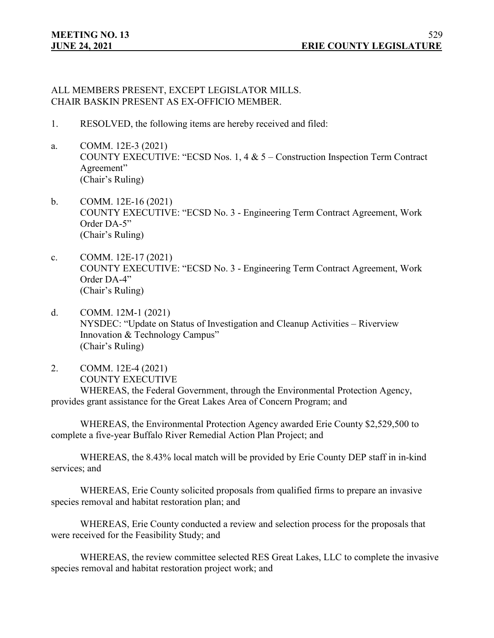#### ALL MEMBERS PRESENT, EXCEPT LEGISLATOR MILLS. CHAIR BASKIN PRESENT AS EX-OFFICIO MEMBER.

- 1. RESOLVED, the following items are hereby received and filed:
- a. COMM. 12E-3 (2021) COUNTY EXECUTIVE: "ECSD Nos. 1, 4 & 5 – Construction Inspection Term Contract Agreement" (Chair's Ruling)
- b. COMM. 12E-16 (2021) COUNTY EXECUTIVE: "ECSD No. 3 - Engineering Term Contract Agreement, Work Order DA-5" (Chair's Ruling)
- c. COMM. 12E-17 (2021) COUNTY EXECUTIVE: "ECSD No. 3 - Engineering Term Contract Agreement, Work Order DA-4" (Chair's Ruling)
- d. COMM. 12M-1 (2021) NYSDEC: "Update on Status of Investigation and Cleanup Activities – Riverview Innovation & Technology Campus" (Chair's Ruling)
- 2. COMM. 12E-4 (2021) COUNTY EXECUTIVE

WHEREAS, the Federal Government, through the Environmental Protection Agency, provides grant assistance for the Great Lakes Area of Concern Program; and

WHEREAS, the Environmental Protection Agency awarded Erie County \$2,529,500 to complete a five-year Buffalo River Remedial Action Plan Project; and

WHEREAS, the 8.43% local match will be provided by Erie County DEP staff in in-kind services; and

WHEREAS, Erie County solicited proposals from qualified firms to prepare an invasive species removal and habitat restoration plan; and

WHEREAS, Erie County conducted a review and selection process for the proposals that were received for the Feasibility Study; and

WHEREAS, the review committee selected RES Great Lakes, LLC to complete the invasive species removal and habitat restoration project work; and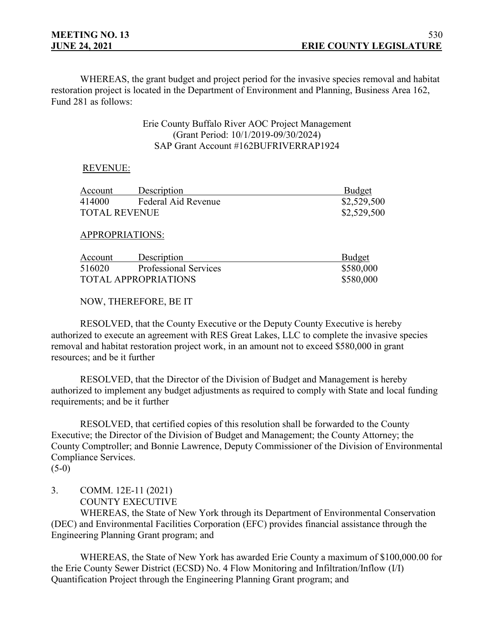WHEREAS, the grant budget and project period for the invasive species removal and habitat restoration project is located in the Department of Environment and Planning, Business Area 162, Fund 281 as follows:

> Erie County Buffalo River AOC Project Management (Grant Period: 10/1/2019-09/30/2024) SAP Grant Account #162BUFRIVERRAP1924

#### REVENUE:

| Account              | Description         | <b>Budget</b> |
|----------------------|---------------------|---------------|
| 414000               | Federal Aid Revenue | \$2,529,500   |
| <b>TOTAL REVENUE</b> |                     | \$2,529,500   |

#### APPROPRIATIONS:

| Account | Description                  | Budget    |
|---------|------------------------------|-----------|
| 516020  | <b>Professional Services</b> | \$580,000 |
|         | <b>TOTAL APPROPRIATIONS</b>  | \$580,000 |

## NOW, THEREFORE, BE IT

RESOLVED, that the County Executive or the Deputy County Executive is hereby authorized to execute an agreement with RES Great Lakes, LLC to complete the invasive species removal and habitat restoration project work, in an amount not to exceed \$580,000 in grant resources; and be it further

RESOLVED, that the Director of the Division of Budget and Management is hereby authorized to implement any budget adjustments as required to comply with State and local funding requirements; and be it further

RESOLVED, that certified copies of this resolution shall be forwarded to the County Executive; the Director of the Division of Budget and Management; the County Attorney; the County Comptroller; and Bonnie Lawrence, Deputy Commissioner of the Division of Environmental Compliance Services.

 $(5-0)$ 

3. COMM. 12E-11 (2021)

COUNTY EXECUTIVE

WHEREAS, the State of New York through its Department of Environmental Conservation (DEC) and Environmental Facilities Corporation (EFC) provides financial assistance through the Engineering Planning Grant program; and

WHEREAS, the State of New York has awarded Erie County a maximum of \$100,000.00 for the Erie County Sewer District (ECSD) No. 4 Flow Monitoring and Infiltration/Inflow (I/I) Quantification Project through the Engineering Planning Grant program; and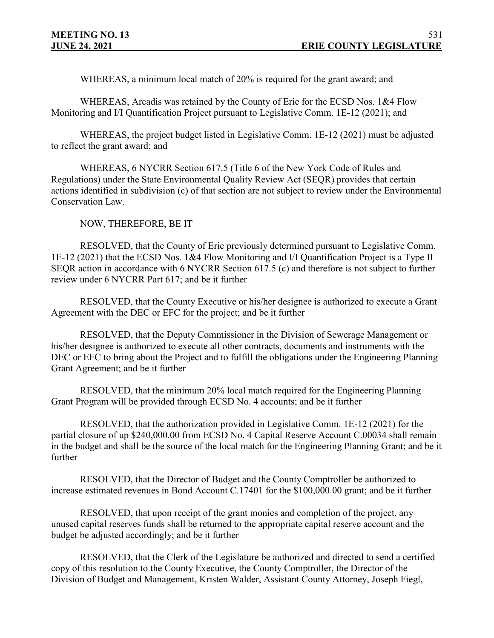WHEREAS, a minimum local match of 20% is required for the grant award; and

WHEREAS, Arcadis was retained by the County of Erie for the ECSD Nos. 1&4 Flow Monitoring and I/I Quantification Project pursuant to Legislative Comm. 1E-12 (2021); and

WHEREAS, the project budget listed in Legislative Comm. 1E-12 (2021) must be adjusted to reflect the grant award; and

WHEREAS, 6 NYCRR Section 617.5 (Title 6 of the New York Code of Rules and Regulations) under the State Environmental Quality Review Act (SEQR) provides that certain actions identified in subdivision (c) of that section are not subject to review under the Environmental Conservation Law.

NOW, THEREFORE, BE IT

RESOLVED, that the County of Erie previously determined pursuant to Legislative Comm. 1E-12 (2021) that the ECSD Nos. 1&4 Flow Monitoring and I/I Quantification Project is a Type II SEQR action in accordance with 6 NYCRR Section 617.5 (c) and therefore is not subject to further review under 6 NYCRR Part 617; and be it further

RESOLVED, that the County Executive or his/her designee is authorized to execute a Grant Agreement with the DEC or EFC for the project; and be it further

RESOLVED, that the Deputy Commissioner in the Division of Sewerage Management or his/her designee is authorized to execute all other contracts, documents and instruments with the DEC or EFC to bring about the Project and to fulfill the obligations under the Engineering Planning Grant Agreement; and be it further

RESOLVED, that the minimum 20% local match required for the Engineering Planning Grant Program will be provided through ECSD No. 4 accounts; and be it further

RESOLVED, that the authorization provided in Legislative Comm. 1E-12 (2021) for the partial closure of up \$240,000.00 from ECSD No. 4 Capital Reserve Account C.00034 shall remain in the budget and shall be the source of the local match for the Engineering Planning Grant; and be it further

RESOLVED, that the Director of Budget and the County Comptroller be authorized to increase estimated revenues in Bond Account C.17401 for the \$100,000.00 grant; and be it further

RESOLVED, that upon receipt of the grant monies and completion of the project, any unused capital reserves funds shall be returned to the appropriate capital reserve account and the budget be adjusted accordingly; and be it further

RESOLVED, that the Clerk of the Legislature be authorized and directed to send a certified copy of this resolution to the County Executive, the County Comptroller, the Director of the Division of Budget and Management, Kristen Walder, Assistant County Attorney, Joseph Fiegl,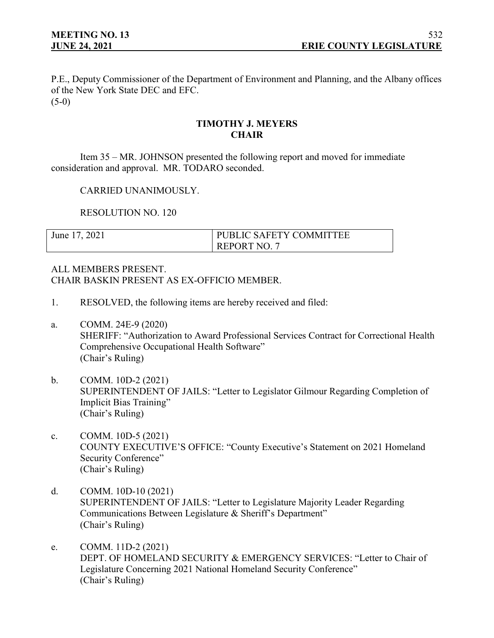P.E., Deputy Commissioner of the Department of Environment and Planning, and the Albany offices of the New York State DEC and EFC.  $(5-0)$ 

## **TIMOTHY J. MEYERS CHAIR**

Item 35 – MR. JOHNSON presented the following report and moved for immediate consideration and approval. MR. TODARO seconded.

#### CARRIED UNANIMOUSLY.

RESOLUTION NO. 120

| June 17, 2021 | PUBLIC SAFETY COMMITTEE |  |
|---------------|-------------------------|--|
|               | <b>REPORT NO. 7</b>     |  |

ALL MEMBERS PRESENT. CHAIR BASKIN PRESENT AS EX-OFFICIO MEMBER.

- 1. RESOLVED, the following items are hereby received and filed:
- a. COMM. 24E-9 (2020) SHERIFF: "Authorization to Award Professional Services Contract for Correctional Health Comprehensive Occupational Health Software" (Chair's Ruling)
- b. COMM. 10D-2 (2021) SUPERINTENDENT OF JAILS: "Letter to Legislator Gilmour Regarding Completion of Implicit Bias Training" (Chair's Ruling)
- c. COMM. 10D-5 (2021) COUNTY EXECUTIVE'S OFFICE: "County Executive's Statement on 2021 Homeland Security Conference" (Chair's Ruling)
- d. COMM. 10D-10 (2021) SUPERINTENDENT OF JAILS: "Letter to Legislature Majority Leader Regarding Communications Between Legislature & Sheriff's Department" (Chair's Ruling)
- e. COMM. 11D-2 (2021) DEPT. OF HOMELAND SECURITY & EMERGENCY SERVICES: "Letter to Chair of Legislature Concerning 2021 National Homeland Security Conference" (Chair's Ruling)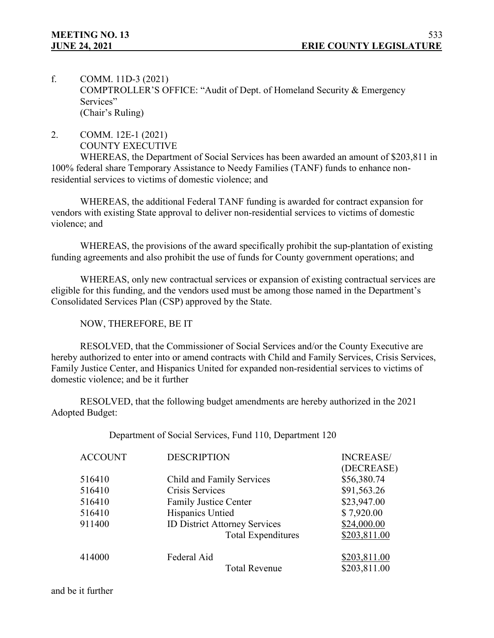- f. COMM. 11D-3 (2021) COMPTROLLER'S OFFICE: "Audit of Dept. of Homeland Security & Emergency Services" (Chair's Ruling)
- 2. COMM. 12E-1 (2021) COUNTY EXECUTIVE

WHEREAS, the Department of Social Services has been awarded an amount of \$203,811 in 100% federal share Temporary Assistance to Needy Families (TANF) funds to enhance nonresidential services to victims of domestic violence; and

WHEREAS, the additional Federal TANF funding is awarded for contract expansion for vendors with existing State approval to deliver non-residential services to victims of domestic violence; and

WHEREAS, the provisions of the award specifically prohibit the sup-plantation of existing funding agreements and also prohibit the use of funds for County government operations; and

WHEREAS, only new contractual services or expansion of existing contractual services are eligible for this funding, and the vendors used must be among those named in the Department's Consolidated Services Plan (CSP) approved by the State.

NOW, THEREFORE, BE IT

RESOLVED, that the Commissioner of Social Services and/or the County Executive are hereby authorized to enter into or amend contracts with Child and Family Services, Crisis Services, Family Justice Center, and Hispanics United for expanded non-residential services to victims of domestic violence; and be it further

RESOLVED, that the following budget amendments are hereby authorized in the 2021 Adopted Budget:

Department of Social Services, Fund 110, Department 120

| <b>ACCOUNT</b> | <b>DESCRIPTION</b>           |                                      | <b>INCREASE</b> / |
|----------------|------------------------------|--------------------------------------|-------------------|
|                |                              |                                      | (DECREASE)        |
| 516410         | Child and Family Services    |                                      | \$56,380.74       |
| 516410         | Crisis Services              |                                      | \$91,563.26       |
| 516410         | <b>Family Justice Center</b> |                                      | \$23,947.00       |
| 516410         | Hispanics Untied             |                                      | \$7,920.00        |
| 911400         |                              | <b>ID District Attorney Services</b> | \$24,000.00       |
|                |                              | <b>Total Expenditures</b>            | \$203,811.00      |
| 414000         | Federal Aid                  |                                      | \$203,811.00      |
|                |                              | <b>Total Revenue</b>                 | \$203,811.00      |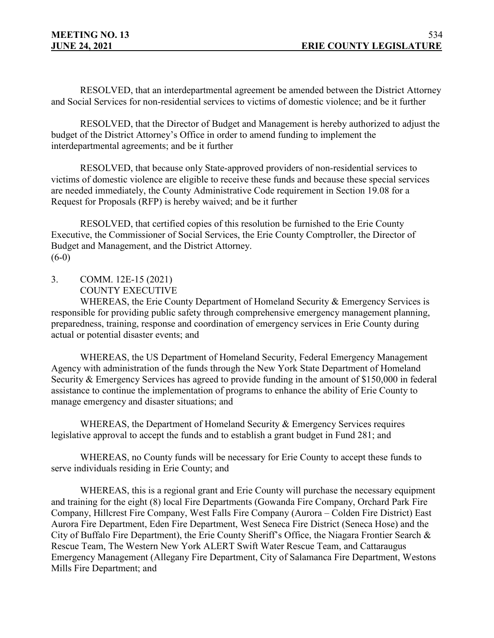RESOLVED, that an interdepartmental agreement be amended between the District Attorney and Social Services for non-residential services to victims of domestic violence; and be it further

RESOLVED, that the Director of Budget and Management is hereby authorized to adjust the budget of the District Attorney's Office in order to amend funding to implement the interdepartmental agreements; and be it further

RESOLVED, that because only State-approved providers of non-residential services to victims of domestic violence are eligible to receive these funds and because these special services are needed immediately, the County Administrative Code requirement in Section 19.08 for a Request for Proposals (RFP) is hereby waived; and be it further

RESOLVED, that certified copies of this resolution be furnished to the Erie County Executive, the Commissioner of Social Services, the Erie County Comptroller, the Director of Budget and Management, and the District Attorney.  $(6-0)$ 

3. COMM. 12E-15 (2021)

COUNTY EXECUTIVE

WHEREAS, the Erie County Department of Homeland Security & Emergency Services is responsible for providing public safety through comprehensive emergency management planning, preparedness, training, response and coordination of emergency services in Erie County during actual or potential disaster events; and

WHEREAS, the US Department of Homeland Security, Federal Emergency Management Agency with administration of the funds through the New York State Department of Homeland Security & Emergency Services has agreed to provide funding in the amount of \$150,000 in federal assistance to continue the implementation of programs to enhance the ability of Erie County to manage emergency and disaster situations; and

WHEREAS, the Department of Homeland Security & Emergency Services requires legislative approval to accept the funds and to establish a grant budget in Fund 281; and

WHEREAS, no County funds will be necessary for Erie County to accept these funds to serve individuals residing in Erie County; and

WHEREAS, this is a regional grant and Erie County will purchase the necessary equipment and training for the eight (8) local Fire Departments (Gowanda Fire Company, Orchard Park Fire Company, Hillcrest Fire Company, West Falls Fire Company (Aurora – Colden Fire District) East Aurora Fire Department, Eden Fire Department, West Seneca Fire District (Seneca Hose) and the City of Buffalo Fire Department), the Erie County Sheriff's Office, the Niagara Frontier Search & Rescue Team, The Western New York ALERT Swift Water Rescue Team, and Cattaraugus Emergency Management (Allegany Fire Department, City of Salamanca Fire Department, Westons Mills Fire Department; and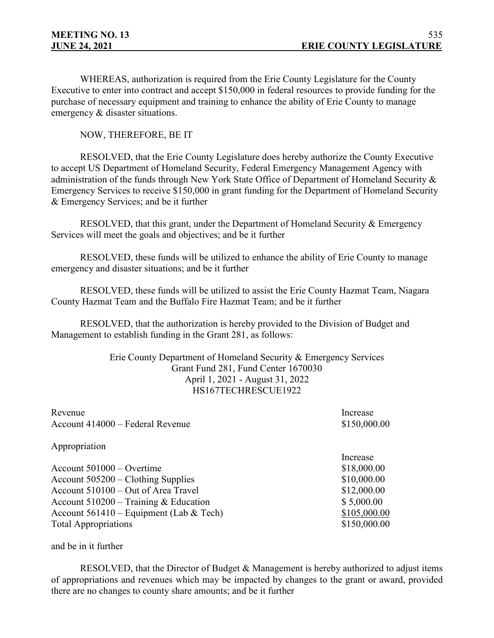WHEREAS, authorization is required from the Erie County Legislature for the County Executive to enter into contract and accept \$150,000 in federal resources to provide funding for the purchase of necessary equipment and training to enhance the ability of Erie County to manage emergency & disaster situations.

NOW, THEREFORE, BE IT

RESOLVED, that the Erie County Legislature does hereby authorize the County Executive to accept US Department of Homeland Security, Federal Emergency Management Agency with administration of the funds through New York State Office of Department of Homeland Security & Emergency Services to receive \$150,000 in grant funding for the Department of Homeland Security & Emergency Services; and be it further

RESOLVED, that this grant, under the Department of Homeland Security & Emergency Services will meet the goals and objectives; and be it further

RESOLVED, these funds will be utilized to enhance the ability of Erie County to manage emergency and disaster situations; and be it further

RESOLVED, these funds will be utilized to assist the Erie County Hazmat Team, Niagara County Hazmat Team and the Buffalo Fire Hazmat Team; and be it further

RESOLVED, that the authorization is hereby provided to the Division of Budget and Management to establish funding in the Grant 281, as follows:

> Erie County Department of Homeland Security & Emergency Services Grant Fund 281, Fund Center 1670030 April 1, 2021 - August 31, 2022 HS167TECHRESCUE1922

| Revenue                          | Increase     |
|----------------------------------|--------------|
| Account 414000 – Federal Revenue | \$150,000.00 |
|                                  |              |
| Appropriation                    |              |
|                                  | Increase     |
| Account $501000 -$ Overtime      | \$18,000.00  |

Account 505200 – Clothing Supplies \$10,000.00 Account  $510100 - Out$  of Area Travel \$12,000.00 Account  $510200 -$  Training & Education  $$5,000.00$ Account 561410 – Equipment (Lab & Tech) \$105,000.00 Total Appropriations  $$150,000.00$ 

and be in it further

RESOLVED, that the Director of Budget & Management is hereby authorized to adjust items of appropriations and revenues which may be impacted by changes to the grant or award, provided there are no changes to county share amounts; and be it further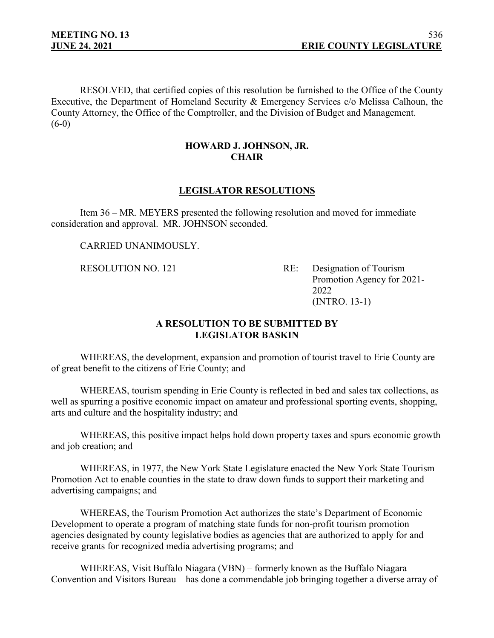RESOLVED, that certified copies of this resolution be furnished to the Office of the County Executive, the Department of Homeland Security & Emergency Services c/o Melissa Calhoun, the County Attorney, the Office of the Comptroller, and the Division of Budget and Management.  $(6-0)$ 

## **HOWARD J. JOHNSON, JR. CHAIR**

## **LEGISLATOR RESOLUTIONS**

Item 36 – MR. MEYERS presented the following resolution and moved for immediate consideration and approval. MR. JOHNSON seconded.

CARRIED UNANIMOUSLY.

RESOLUTION NO. 121 RE: Designation of Tourism Promotion Agency for 2021- 2022 (INTRO. 13-1)

## **A RESOLUTION TO BE SUBMITTED BY LEGISLATOR BASKIN**

WHEREAS, the development, expansion and promotion of tourist travel to Erie County are of great benefit to the citizens of Erie County; and

WHEREAS, tourism spending in Erie County is reflected in bed and sales tax collections, as well as spurring a positive economic impact on amateur and professional sporting events, shopping, arts and culture and the hospitality industry; and

WHEREAS, this positive impact helps hold down property taxes and spurs economic growth and job creation; and

WHEREAS, in 1977, the New York State Legislature enacted the New York State Tourism Promotion Act to enable counties in the state to draw down funds to support their marketing and advertising campaigns; and

WHEREAS, the Tourism Promotion Act authorizes the state's Department of Economic Development to operate a program of matching state funds for non-profit tourism promotion agencies designated by county legislative bodies as agencies that are authorized to apply for and receive grants for recognized media advertising programs; and

WHEREAS, Visit Buffalo Niagara (VBN) – formerly known as the Buffalo Niagara Convention and Visitors Bureau – has done a commendable job bringing together a diverse array of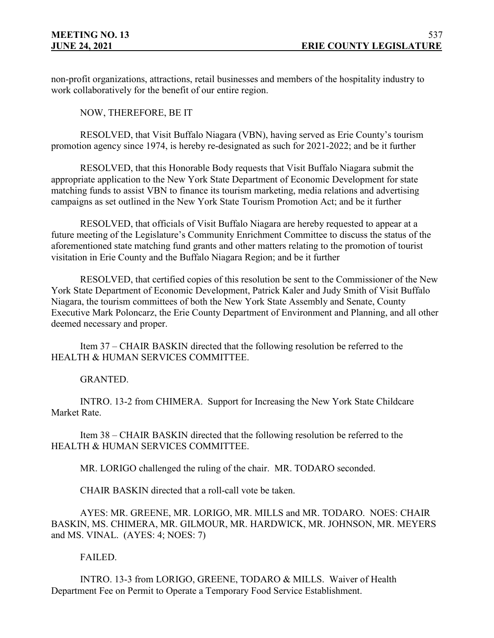non-profit organizations, attractions, retail businesses and members of the hospitality industry to work collaboratively for the benefit of our entire region.

NOW, THEREFORE, BE IT

RESOLVED, that Visit Buffalo Niagara (VBN), having served as Erie County's tourism promotion agency since 1974, is hereby re-designated as such for 2021-2022; and be it further

RESOLVED, that this Honorable Body requests that Visit Buffalo Niagara submit the appropriate application to the New York State Department of Economic Development for state matching funds to assist VBN to finance its tourism marketing, media relations and advertising campaigns as set outlined in the New York State Tourism Promotion Act; and be it further

RESOLVED, that officials of Visit Buffalo Niagara are hereby requested to appear at a future meeting of the Legislature's Community Enrichment Committee to discuss the status of the aforementioned state matching fund grants and other matters relating to the promotion of tourist visitation in Erie County and the Buffalo Niagara Region; and be it further

RESOLVED, that certified copies of this resolution be sent to the Commissioner of the New York State Department of Economic Development, Patrick Kaler and Judy Smith of Visit Buffalo Niagara, the tourism committees of both the New York State Assembly and Senate, County Executive Mark Poloncarz, the Erie County Department of Environment and Planning, and all other deemed necessary and proper.

Item 37 – CHAIR BASKIN directed that the following resolution be referred to the HEALTH & HUMAN SERVICES COMMITTEE.

GRANTED.

INTRO. 13-2 from CHIMERA. Support for Increasing the New York State Childcare Market Rate.

Item 38 – CHAIR BASKIN directed that the following resolution be referred to the HEALTH & HUMAN SERVICES COMMITTEE.

MR. LORIGO challenged the ruling of the chair. MR. TODARO seconded.

CHAIR BASKIN directed that a roll-call vote be taken.

AYES: MR. GREENE, MR. LORIGO, MR. MILLS and MR. TODARO. NOES: CHAIR BASKIN, MS. CHIMERA, MR. GILMOUR, MR. HARDWICK, MR. JOHNSON, MR. MEYERS and MS. VINAL. (AYES: 4; NOES: 7)

FAILED.

INTRO. 13-3 from LORIGO, GREENE, TODARO & MILLS. Waiver of Health Department Fee on Permit to Operate a Temporary Food Service Establishment.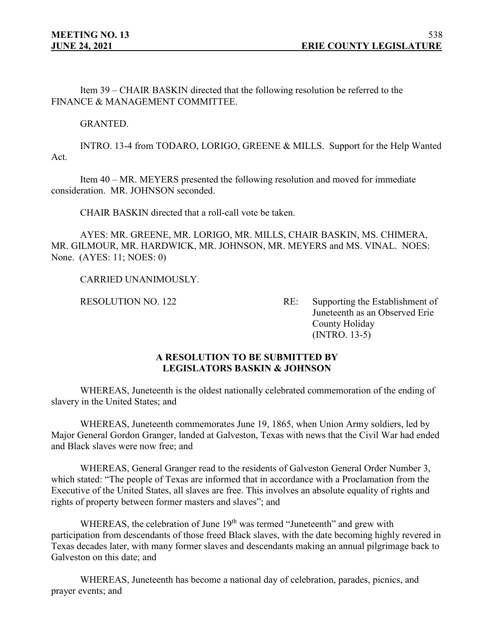Item 39 – CHAIR BASKIN directed that the following resolution be referred to the FINANCE & MANAGEMENT COMMITTEE.

GRANTED.

INTRO. 13-4 from TODARO, LORIGO, GREENE & MILLS. Support for the Help Wanted Act.

Item 40 – MR. MEYERS presented the following resolution and moved for immediate consideration. MR. JOHNSON seconded.

CHAIR BASKIN directed that a roll-call vote be taken.

AYES: MR. GREENE, MR. LORIGO, MR. MILLS, CHAIR BASKIN, MS. CHIMERA, MR. GILMOUR, MR. HARDWICK, MR. JOHNSON, MR. MEYERS and MS. VINAL. NOES: None. (AYES: 11; NOES: 0)

CARRIED UNANIMOUSLY.

RESOLUTION NO. 122 RE: Supporting the Establishment of Juneteenth as an Observed Erie County Holiday (INTRO. 13-5)

## **A RESOLUTION TO BE SUBMITTED BY LEGISLATORS BASKIN & JOHNSON**

WHEREAS, Juneteenth is the oldest nationally celebrated commemoration of the ending of slavery in the United States; and

WHEREAS, Juneteenth commemorates June 19, 1865, when Union Army soldiers, led by Major General Gordon Granger, landed at Galveston, Texas with news that the Civil War had ended and Black slaves were now free; and

WHEREAS, General Granger read to the residents of Galveston General Order Number 3, which stated: "The people of Texas are informed that in accordance with a Proclamation from the Executive of the United States, all slaves are free. This involves an absolute equality of rights and rights of property between former masters and slaves"; and

WHEREAS, the celebration of June 19<sup>th</sup> was termed "Juneteenth" and grew with participation from descendants of those freed Black slaves, with the date becoming highly revered in Texas decades later, with many former slaves and descendants making an annual pilgrimage back to Galveston on this date; and

WHEREAS, Juneteenth has become a national day of celebration, parades, picnics, and prayer events; and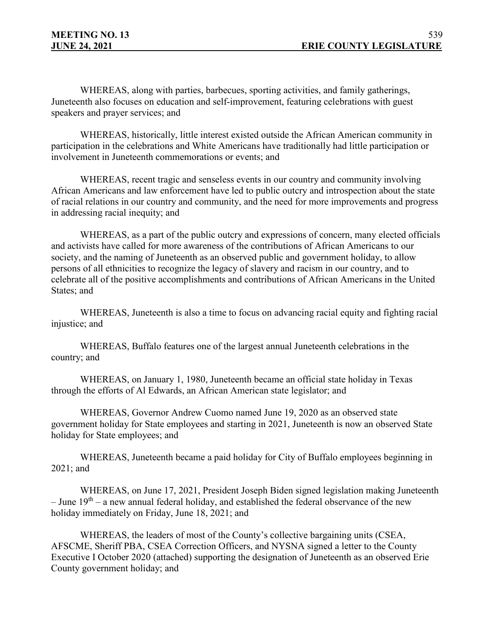WHEREAS, along with parties, barbecues, sporting activities, and family gatherings, Juneteenth also focuses on education and self-improvement, featuring celebrations with guest speakers and prayer services; and

WHEREAS, historically, little interest existed outside the African American community in participation in the celebrations and White Americans have traditionally had little participation or involvement in Juneteenth commemorations or events; and

WHEREAS, recent tragic and senseless events in our country and community involving African Americans and law enforcement have led to public outcry and introspection about the state of racial relations in our country and community, and the need for more improvements and progress in addressing racial inequity; and

WHEREAS, as a part of the public outcry and expressions of concern, many elected officials and activists have called for more awareness of the contributions of African Americans to our society, and the naming of Juneteenth as an observed public and government holiday, to allow persons of all ethnicities to recognize the legacy of slavery and racism in our country, and to celebrate all of the positive accomplishments and contributions of African Americans in the United States; and

WHEREAS, Juneteenth is also a time to focus on advancing racial equity and fighting racial injustice; and

WHEREAS, Buffalo features one of the largest annual Juneteenth celebrations in the country; and

WHEREAS, on January 1, 1980, Juneteenth became an official state holiday in Texas through the efforts of Al Edwards, an African American state legislator; and

WHEREAS, Governor Andrew Cuomo named June 19, 2020 as an observed state government holiday for State employees and starting in 2021, Juneteenth is now an observed State holiday for State employees; and

WHEREAS, Juneteenth became a paid holiday for City of Buffalo employees beginning in 2021; and

WHEREAS, on June 17, 2021, President Joseph Biden signed legislation making Juneteenth – June  $19^{th}$  – a new annual federal holiday, and established the federal observance of the new holiday immediately on Friday, June 18, 2021; and

WHEREAS, the leaders of most of the County's collective bargaining units (CSEA, AFSCME, Sheriff PBA, CSEA Correction Officers, and NYSNA signed a letter to the County Executive I October 2020 (attached) supporting the designation of Juneteenth as an observed Erie County government holiday; and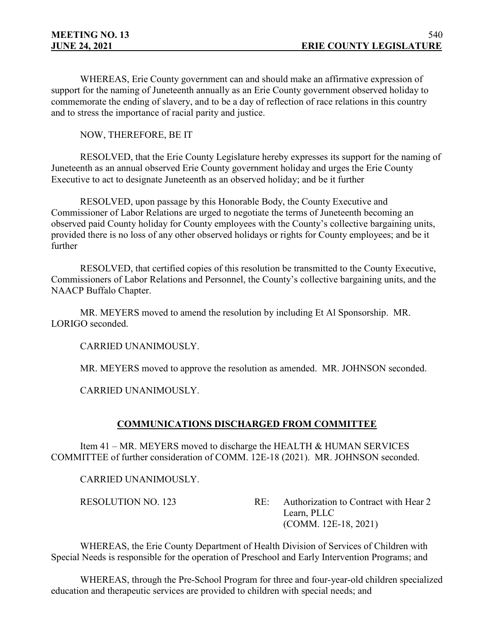WHEREAS, Erie County government can and should make an affirmative expression of support for the naming of Juneteenth annually as an Erie County government observed holiday to commemorate the ending of slavery, and to be a day of reflection of race relations in this country and to stress the importance of racial parity and justice.

NOW, THEREFORE, BE IT

RESOLVED, that the Erie County Legislature hereby expresses its support for the naming of Juneteenth as an annual observed Erie County government holiday and urges the Erie County Executive to act to designate Juneteenth as an observed holiday; and be it further

RESOLVED, upon passage by this Honorable Body, the County Executive and Commissioner of Labor Relations are urged to negotiate the terms of Juneteenth becoming an observed paid County holiday for County employees with the County's collective bargaining units, provided there is no loss of any other observed holidays or rights for County employees; and be it further

RESOLVED, that certified copies of this resolution be transmitted to the County Executive, Commissioners of Labor Relations and Personnel, the County's collective bargaining units, and the NAACP Buffalo Chapter.

MR. MEYERS moved to amend the resolution by including Et Al Sponsorship. MR. LORIGO seconded.

CARRIED UNANIMOUSLY.

MR. MEYERS moved to approve the resolution as amended. MR. JOHNSON seconded.

CARRIED UNANIMOUSLY.

## **COMMUNICATIONS DISCHARGED FROM COMMITTEE**

Item 41 – MR. MEYERS moved to discharge the HEALTH & HUMAN SERVICES COMMITTEE of further consideration of COMM. 12E-18 (2021). MR. JOHNSON seconded.

CARRIED UNANIMOUSLY.

RESOLUTION NO. 123 RE: Authorization to Contract with Hear 2 Learn, PLLC (COMM. 12E-18, 2021)

WHEREAS, the Erie County Department of Health Division of Services of Children with Special Needs is responsible for the operation of Preschool and Early Intervention Programs; and

WHEREAS, through the Pre-School Program for three and four-year-old children specialized education and therapeutic services are provided to children with special needs; and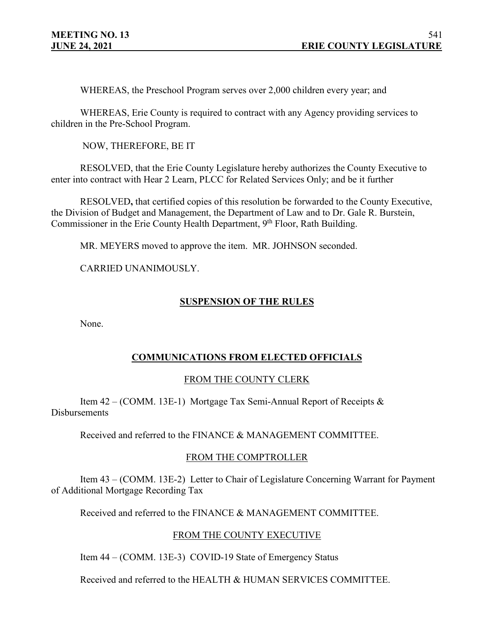WHEREAS, the Preschool Program serves over 2,000 children every year; and

WHEREAS, Erie County is required to contract with any Agency providing services to children in the Pre-School Program.

NOW, THEREFORE, BE IT

RESOLVED, that the Erie County Legislature hereby authorizes the County Executive to enter into contract with Hear 2 Learn, PLCC for Related Services Only; and be it further

RESOLVED**,** that certified copies of this resolution be forwarded to the County Executive, the Division of Budget and Management, the Department of Law and to Dr. Gale R. Burstein, Commissioner in the Erie County Health Department, 9<sup>th</sup> Floor, Rath Building.

MR. MEYERS moved to approve the item. MR. JOHNSON seconded.

CARRIED UNANIMOUSLY.

## **SUSPENSION OF THE RULES**

None.

## **COMMUNICATIONS FROM ELECTED OFFICIALS**

#### FROM THE COUNTY CLERK

Item  $42 - (COMM. 13E-1)$  Mortgage Tax Semi-Annual Report of Receipts  $\&$ Disbursements

Received and referred to the FINANCE & MANAGEMENT COMMITTEE.

#### FROM THE COMPTROLLER

Item 43 – (COMM. 13E-2) Letter to Chair of Legislature Concerning Warrant for Payment of Additional Mortgage Recording Tax

Received and referred to the FINANCE & MANAGEMENT COMMITTEE.

## FROM THE COUNTY EXECUTIVE

Item 44 – (COMM. 13E-3) COVID-19 State of Emergency Status

Received and referred to the HEALTH & HUMAN SERVICES COMMITTEE.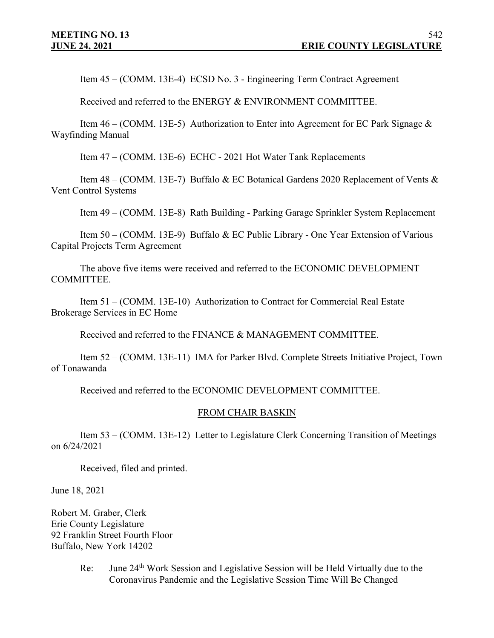Item 45 – (COMM. 13E-4) ECSD No. 3 - Engineering Term Contract Agreement

Received and referred to the ENERGY & ENVIRONMENT COMMITTEE.

Item  $46 - (COMM. 13E-5)$  Authorization to Enter into Agreement for EC Park Signage & Wayfinding Manual

Item 47 – (COMM. 13E-6) ECHC - 2021 Hot Water Tank Replacements

Item 48 – (COMM. 13E-7) Buffalo & EC Botanical Gardens 2020 Replacement of Vents & Vent Control Systems

Item 49 – (COMM. 13E-8) Rath Building - Parking Garage Sprinkler System Replacement

Item 50 – (COMM. 13E-9) Buffalo & EC Public Library - One Year Extension of Various Capital Projects Term Agreement

The above five items were received and referred to the ECONOMIC DEVELOPMENT COMMITTEE.

Item 51 – (COMM. 13E-10) Authorization to Contract for Commercial Real Estate Brokerage Services in EC Home

Received and referred to the FINANCE & MANAGEMENT COMMITTEE.

Item 52 – (COMM. 13E-11) IMA for Parker Blvd. Complete Streets Initiative Project, Town of Tonawanda

Received and referred to the ECONOMIC DEVELOPMENT COMMITTEE.

#### FROM CHAIR BASKIN

Item 53 – (COMM. 13E-12) Letter to Legislature Clerk Concerning Transition of Meetings on 6/24/2021

Received, filed and printed.

June 18, 2021

Robert M. Graber, Clerk Erie County Legislature 92 Franklin Street Fourth Floor Buffalo, New York 14202

> Re: June 24<sup>th</sup> Work Session and Legislative Session will be Held Virtually due to the Coronavirus Pandemic and the Legislative Session Time Will Be Changed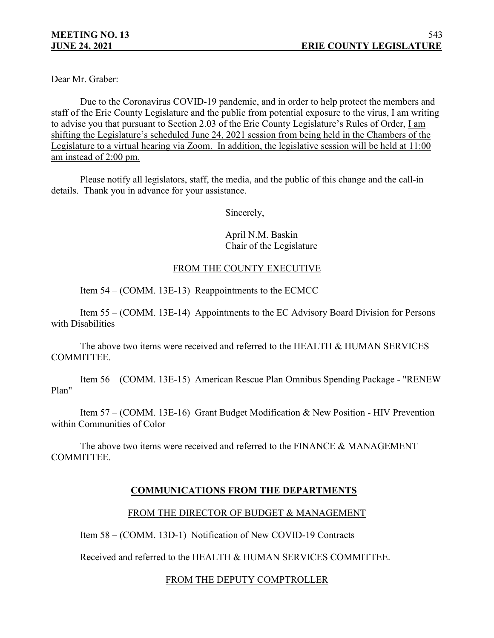Dear Mr. Graber:

Due to the Coronavirus COVID-19 pandemic, and in order to help protect the members and staff of the Erie County Legislature and the public from potential exposure to the virus, I am writing to advise you that pursuant to Section 2.03 of the Erie County Legislature's Rules of Order, *I am* shifting the Legislature's scheduled June 24, 2021 session from being held in the Chambers of the Legislature to a virtual hearing via Zoom. In addition, the legislative session will be held at 11:00 am instead of 2:00 pm.

Please notify all legislators, staff, the media, and the public of this change and the call-in details. Thank you in advance for your assistance.

Sincerely,

April N.M. Baskin Chair of the Legislature

# FROM THE COUNTY EXECUTIVE

Item 54 – (COMM. 13E-13) Reappointments to the ECMCC

Item 55 – (COMM. 13E-14) Appointments to the EC Advisory Board Division for Persons with Disabilities

The above two items were received and referred to the HEALTH & HUMAN SERVICES COMMITTEE.

Item 56 – (COMM. 13E-15) American Rescue Plan Omnibus Spending Package - "RENEW Plan"

Item 57 – (COMM. 13E-16) Grant Budget Modification & New Position - HIV Prevention within Communities of Color

The above two items were received and referred to the FINANCE & MANAGEMENT COMMITTEE.

## **COMMUNICATIONS FROM THE DEPARTMENTS**

#### FROM THE DIRECTOR OF BUDGET & MANAGEMENT

Item 58 – (COMM. 13D-1) Notification of New COVID-19 Contracts

Received and referred to the HEALTH & HUMAN SERVICES COMMITTEE.

## FROM THE DEPUTY COMPTROLLER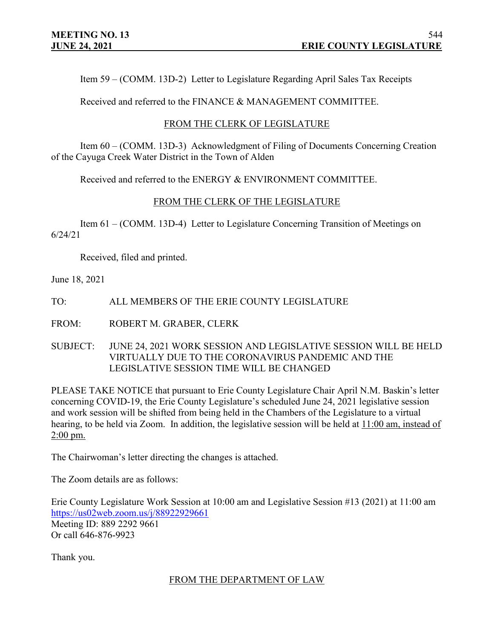Item 59 – (COMM. 13D-2) Letter to Legislature Regarding April Sales Tax Receipts

Received and referred to the FINANCE & MANAGEMENT COMMITTEE.

## FROM THE CLERK OF LEGISLATURE

Item 60 – (COMM. 13D-3) Acknowledgment of Filing of Documents Concerning Creation of the Cayuga Creek Water District in the Town of Alden

Received and referred to the ENERGY & ENVIRONMENT COMMITTEE.

# FROM THE CLERK OF THE LEGISLATURE

Item 61 – (COMM. 13D-4) Letter to Legislature Concerning Transition of Meetings on 6/24/21

Received, filed and printed.

June 18, 2021

TO: ALL MEMBERS OF THE ERIE COUNTY LEGISLATURE

FROM: ROBERT M. GRABER, CLERK

SUBJECT: JUNE 24, 2021 WORK SESSION AND LEGISLATIVE SESSION WILL BE HELD VIRTUALLY DUE TO THE CORONAVIRUS PANDEMIC AND THE LEGISLATIVE SESSION TIME WILL BE CHANGED

PLEASE TAKE NOTICE that pursuant to Erie County Legislature Chair April N.M. Baskin's letter concerning COVID-19, the Erie County Legislature's scheduled June 24, 2021 legislative session and work session will be shifted from being held in the Chambers of the Legislature to a virtual hearing, to be held via Zoom. In addition, the legislative session will be held at 11:00 am, instead of 2:00 pm.

The Chairwoman's letter directing the changes is attached.

The Zoom details are as follows:

Erie County Legislature Work Session at 10:00 am and Legislative Session #13 (2021) at 11:00 am <https://us02web.zoom.us/j/88922929661> Meeting ID: 889 2292 9661 Or call 646-876-9923

Thank you.

# FROM THE DEPARTMENT OF LAW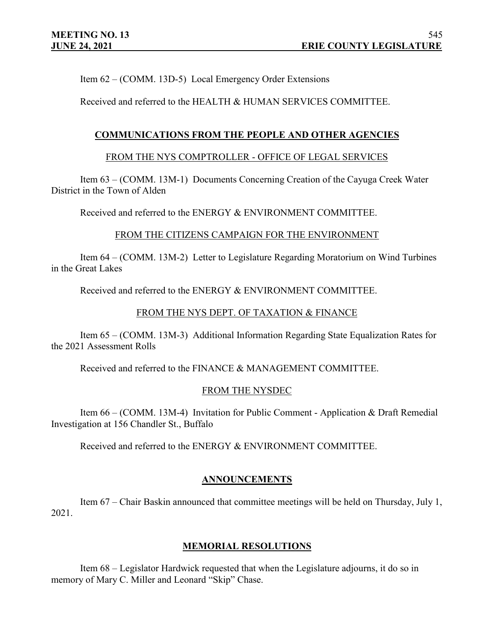Item 62 – (COMM. 13D-5) Local Emergency Order Extensions

Received and referred to the HEALTH & HUMAN SERVICES COMMITTEE.

## **COMMUNICATIONS FROM THE PEOPLE AND OTHER AGENCIES**

#### FROM THE NYS COMPTROLLER - OFFICE OF LEGAL SERVICES

Item 63 – (COMM. 13M-1) Documents Concerning Creation of the Cayuga Creek Water District in the Town of Alden

Received and referred to the ENERGY & ENVIRONMENT COMMITTEE.

#### FROM THE CITIZENS CAMPAIGN FOR THE ENVIRONMENT

Item 64 – (COMM. 13M-2) Letter to Legislature Regarding Moratorium on Wind Turbines in the Great Lakes

Received and referred to the ENERGY & ENVIRONMENT COMMITTEE.

## FROM THE NYS DEPT. OF TAXATION & FINANCE

Item 65 – (COMM. 13M-3) Additional Information Regarding State Equalization Rates for the 2021 Assessment Rolls

Received and referred to the FINANCE & MANAGEMENT COMMITTEE.

## FROM THE NYSDEC

Item 66 – (COMM. 13M-4) Invitation for Public Comment - Application & Draft Remedial Investigation at 156 Chandler St., Buffalo

Received and referred to the ENERGY & ENVIRONMENT COMMITTEE.

## **ANNOUNCEMENTS**

Item 67 – Chair Baskin announced that committee meetings will be held on Thursday, July 1, 2021.

#### **MEMORIAL RESOLUTIONS**

Item 68 – Legislator Hardwick requested that when the Legislature adjourns, it do so in memory of Mary C. Miller and Leonard "Skip" Chase.